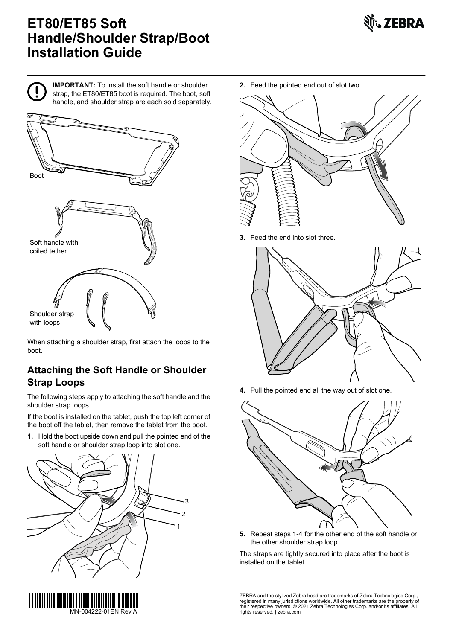# **ET80/ET85 Soft Handle/Shoulder Strap/Boot Installation Guide**





**IMPORTANT:** To install the soft handle or shoulder strap, the ET80/ET85 boot is required. The boot, soft handle, and shoulder strap are each sold separately.



Shoulder strap with loops

When attaching a shoulder strap, first attach the loops to the boot.

## **Attaching the Soft Handle or Shoulder Strap Loops**

The following steps apply to attaching the soft handle and the shoulder strap loops.

If the boot is installed on the tablet, push the top left corner of the boot off the tablet, then remove the tablet from the boot.

**1.** Hold the boot upside down and pull the pointed end of the soft handle or shoulder strap loop into slot one.



**2.** Feed the pointed end out of slot two.



**3.** Feed the end into slot three.



**4.** Pull the pointed end all the way out of slot one.



**5.** Repeat steps 1-4 for the other end of the soft handle or the other shoulder strap loop.

The straps are tightly secured into place after the boot is installed on the tablet.

ZEBRA and the stylized Zebra head are trademarks of Zebra Technologies Corp., registered in many jurisdictions worldwide. All other trademarks are the property of their respective owners. © 2021 Zebra Technologies Corp. and/or its affiliates. All MN-004222-01EN Rev A rights reserved. | zebra.com